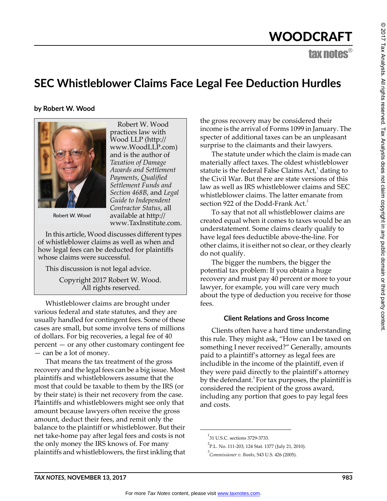## WOODCRAFT

tax notes®

### **SEC Whistleblower Claims Face Legal Fee Deduction Hurdles**

**by Robert W. Wood**



Robert W. Wood practices law with Wood LLP (http:// www.WoodLLP.com) and is the author of *Taxation of Damage Awards and Settlement Payments*, *Qualified Settlement Funds and Section 468B*, and *Legal Guide to Independent Contractor Status*, all available at http:// www.TaxInstitute.com.

Robert W. Wood

In this article, Wood discusses different types of whistleblower claims as well as when and how legal fees can be deducted for plaintiffs whose claims were successful.

This discussion is not legal advice.

Copyright 2017 Robert W. Wood. All rights reserved.

Whistleblower claims are brought under various federal and state statutes, and they are usually handled for contingent fees. Some of these cases are small, but some involve tens of millions of dollars. For big recoveries, a legal fee of 40 percent — or any other customary contingent fee — can be a lot of money.

That means the tax treatment of the gross recovery and the legal fees can be a big issue. Most plaintiffs and whistleblowers assume that the most that could be taxable to them by the IRS (or by their state) is their net recovery from the case. Plaintiffs and whistleblowers might see only that amount because lawyers often receive the gross amount, deduct their fees, and remit only the balance to the plaintiff or whistleblower. But their net take-home pay after legal fees and costs is not the only money the IRS knows of. For many plaintiffs and whistleblowers, the first inkling that the gross recovery may be considered their income is the arrival of Forms 1099 in January. The specter of additional taxes can be an unpleasant surprise to the claimants and their lawyers.

The statute under which the claim is made can materially affect taxes. The oldest whistleblower statute is the federal False Claims  $\operatorname{Act},^1$  dating to the Civil War. But there are state versions of this law as well as IRS whistleblower claims and SEC whistleblower claims. The latter emanate from section 922 of the Dodd-Frank Act.<sup>2</sup>

To say that not all whistleblower claims are created equal when it comes to taxes would be an understatement. Some claims clearly qualify to have legal fees deductible above-the-line. For other claims, it is either not so clear, or they clearly do not qualify.

The bigger the numbers, the bigger the potential tax problem: If you obtain a huge recovery and must pay 40 percent or more to your lawyer, for example, you will care very much about the type of deduction you receive for those fees.

#### **Client Relations and Gross Income**

Clients often have a hard time understanding this rule. They might ask, "How can I be taxed on something I never received?" Generally, amounts paid to a plaintiff's attorney as legal fees are includible in the income of the plaintiff, even if they were paid directly to the plaintiff's attorney by the defendant.<sup>3</sup> For tax purposes, the plaintiff is considered the recipient of the gross award, including any portion that goes to pay legal fees and costs.

<sup>&</sup>lt;sup>1</sup>31 U.S.C. sections 3729-3733.

<sup>&</sup>lt;sup>2</sup>P.L. No. 111-203, 124 Stat. 1377 (July 21, 2010).

<sup>3</sup> *Commissioner v. Banks*, 543 U.S. 426 (2005).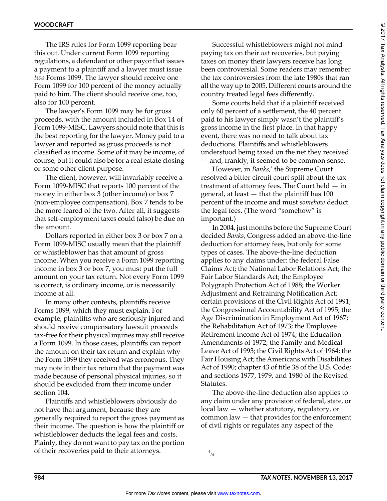The IRS rules for Form 1099 reporting bear this out. Under current Form 1099 reporting regulations, a defendant or other payor that issues a payment to a plaintiff and a lawyer must issue *two* Forms 1099. The lawyer should receive one Form 1099 for 100 percent of the money actually paid to him. The client should receive one, too, also for 100 percent.

The lawyer's Form 1099 may be for gross proceeds, with the amount included in Box 14 of Form 1099-MISC. Lawyers should note that this is the best reporting for the lawyer. Money paid to a lawyer and reported as gross proceeds is not classified as income. Some of it may be income, of course, but it could also be for a real estate closing or some other client purpose.

The client, however, will invariably receive a Form 1099-MISC that reports 100 percent of the money in either box 3 (other income) or box 7 (non-employee compensation). Box 7 tends to be the more feared of the two. After all, it suggests that self-employment taxes could (also) be due on the amount.

Dollars reported in either box 3 or box 7 on a Form 1099-MISC usually mean that the plaintiff or whistleblower has that amount of gross income. When you receive a Form 1099 reporting income in box 3 or box 7, you must put the full amount on your tax return. Not every Form 1099 is correct, is ordinary income, or is necessarily income at all.

In many other contexts, plaintiffs receive Forms 1099, which they must explain. For example, plaintiffs who are seriously injured and should receive compensatory lawsuit proceeds tax-free for their physical injuries may still receive a Form 1099. In those cases, plaintiffs can report the amount on their tax return and explain why the Form 1099 they received was erroneous. They may note in their tax return that the payment was made because of personal physical injuries, so it should be excluded from their income under section 104.

Plaintiffs and whistleblowers obviously do not have that argument, because they are generally required to report the gross payment as their income. The question is how the plaintiff or whistleblower deducts the legal fees and costs. Plainly, they do not want to pay tax on the portion of their recoveries paid to their attorneys.

Successful whistleblowers might not mind paying tax on their *net* recoveries, but paying taxes on money their lawyers receive has long been controversial. Some readers may remember the tax controversies from the late 1980s that ran all the way up to 2005. Different courts around the country treated legal fees differently.

Some courts held that if a plaintiff received only 60 percent of a settlement, the 40 percent paid to his lawyer simply wasn't the plaintiff's gross income in the first place. In that happy event, there was no need to talk about tax deductions. Plaintiffs and whistleblowers understood being taxed on the net they received — and, frankly, it seemed to be common sense.

However, in *Banks*,<sup>4</sup> the Supreme Court resolved a bitter circuit court split about the tax treatment of attorney fees. The Court held — in general, at least — that the plaintiff has 100 percent of the income and must *somehow* deduct the legal fees. (The word "somehow" is important.)

In 2004, just months before the Supreme Court decided *Banks*, Congress added an above-the-line deduction for attorney fees, but only for some types of cases. The above-the-line deduction applies to any claims under: the federal False Claims Act; the National Labor Relations Act; the Fair Labor Standards Act; the Employee Polygraph Protection Act of 1988; the Worker Adjustment and Retraining Notification Act; certain provisions of the Civil Rights Act of 1991; the Congressional Accountability Act of 1995; the Age Discrimination in Employment Act of 1967; the Rehabilitation Act of 1973; the Employee Retirement Income Act of 1974; the Education Amendments of 1972; the Family and Medical Leave Act of 1993; the Civil Rights Act of 1964; the Fair Housing Act; the Americans with Disabilities Act of 1990; chapter 43 of title 38 of the U.S. Code; and sections 1977, 1979, and 1980 of the Revised Statutes.

The above-the-line deduction also applies to any claim under any provision of federal, state, or local law — whether statutory, regulatory, or common law — that provides for the enforcement of civil rights or regulates any aspect of the

<sup>4</sup> *Id.*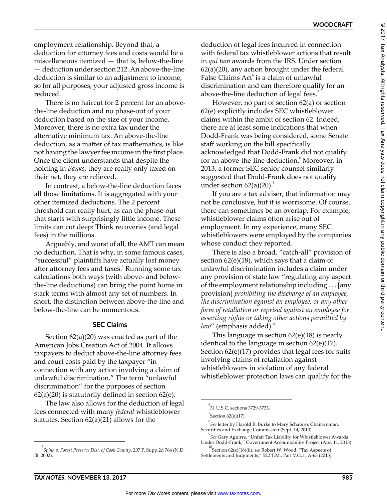**WOODCRAFT**

employment relationship. Beyond that, a deduction for attorney fees and costs would be a miscellaneous itemized — that is, below-the-line — deduction under section 212. An above-the-line deduction is similar to an adjustment to income, so for all purposes, your adjusted gross income is reduced.

There is no haircut for 2 percent for an abovethe-line deduction and no phase-out of your deduction based on the size of your income. Moreover, there is no extra tax under the alternative minimum tax. An above-the-line deduction, as a matter of tax mathematics, is like not having the lawyer fee income in the first place. Once the client understands that despite the holding in *Banks*, they are really only taxed on their net, they are relieved.

In contrast, a below-the-line deduction faces all those limitations. It is aggregated with your other itemized deductions. The 2 percent threshold can really hurt, as can the phase-out that starts with surprisingly little income. These limits can cut deep: Think recoveries (and legal fees) in the millions.

Arguably, and worst of all, the AMT can mean no deduction. That is why, in some famous cases, "successful" plaintiffs have actually lost money after attorney fees and taxes.<sup>5</sup> Running some tax calculations both ways (with above- and belowthe-line deductions) can bring the point home in stark terms with almost any set of numbers. In short, the distinction between above-the-line and below-the-line can be momentous.

#### **SEC Claims**

Section 62(a)(20) was enacted as part of the American Jobs Creation Act of 2004. It allows taxpayers to deduct above-the-line attorney fees and court costs paid by the taxpayer "in connection with any action involving a claim of unlawful discrimination." The term "unlawful discrimination" for the purposes of section  $62(a)(20)$  is statutorily defined in section  $62(e)$ .

The law also allows for the deduction of legal fees connected with many *federal* whistleblower statutes. Section 62(a)(21) allows for the

deduction of legal fees incurred in connection with federal tax whistleblower actions that result in *qui tam* awards from the IRS. Under section  $62(a)(20)$ , any action brought under the federal False Claims Act<sup>6</sup> is a claim of unlawful discrimination and can therefore qualify for an above-the-line deduction of legal fees.<sup>7</sup>

However, no part of section 62(a) or section 62(e) explicitly includes SEC whistleblower claims within the ambit of section 62. Indeed, there are at least some indications that when Dodd-Frank was being considered, some Senate staff working on the bill specifically acknowledged that Dodd-Frank did not qualify for an above-the-line deduction.<sup>8</sup> Moreover, in 2013, a former SEC senior counsel similarly suggested that Dodd-Frank does not qualify under section  $62(a)(20)$ .

If you are a tax adviser, that information may not be conclusive, but it is worrisome. Of course, there can sometimes be an overlap. For example, whistleblower claims often arise out of employment. In my experience, many SEC whistleblowers were employed by the companies whose conduct they reported.

There is also a broad, "catch-all" provision of section 62(e)(18), which says that a claim of unlawful discrimination includes a claim under any provision of state law "regulating any aspect of the employment relationship including . . . [any provision] *prohibiting the discharge of an employee, the discrimination against an employee, or any other form of retaliation or reprisal against an employee for asserting rights or taking other actions permitted by law*" (emphasis added).<sup>10</sup>

This language in section 62(e)(18) is nearly identical to the language in section 62(e)(17). Section 62(e)(17) provides that legal fees for suits involving claims of retaliation against whistleblowers in violation of any federal whistleblower protection laws can qualify for the

<sup>5</sup> *Spina v. Forest Preserve Dist. of Cook County*, 207 F. Supp.2d 764 (N.D. Ill. 2002).

<sup>6</sup> 31 U.S.C. sections 3729-3733.

 $^7$ Section 62(e)(17).

<sup>8</sup> *See* letter by Harold R. Burke to Mary Schapiro, Chairwoman, Securities and Exchange Commission (Sept. 14, 2010).

<sup>9</sup> *See* Gary Aguirre, "Unfair Tax Liability for Whistleblower Awards Under Dodd-Frank," Government Accountability Project (Apr. 11, 2013).

<sup>&</sup>lt;sup>10</sup>Section 62(e)(18)(ii); *see* Robert W. Wood, "Tax Aspects of Settlements and Judgments," 522 T.M., Part V.G.1., A-63 (2015).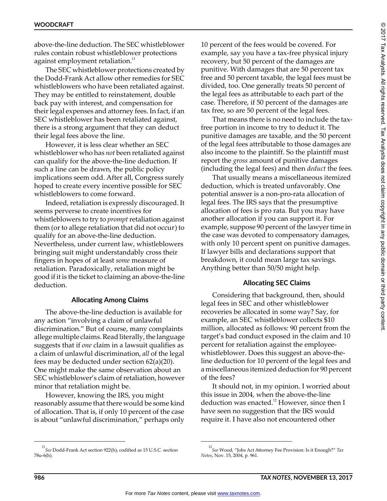above-the-line deduction. The SEC whistleblower rules contain robust whistleblower protections against employment retaliation.<sup>11</sup>

The SEC whistleblower protections created by the Dodd-Frank Act allow other remedies for SEC whistleblowers who have been retaliated against. They may be entitled to reinstatement, double back pay with interest, and compensation for their legal expenses and attorney fees. In fact, if an SEC whistleblower has been retaliated against, there is a strong argument that they can deduct their legal fees above the line.

However, it is less clear whether an SEC whistleblower who has *not* been retaliated against can qualify for the above-the-line deduction. If such a line can be drawn, the public policy implications seem odd. After all, Congress surely hoped to create every incentive possible for SEC whistleblowers to come forward.

Indeed, retaliation is expressly discouraged. It seems perverse to create incentives for whistleblowers to try to *prompt* retaliation against them (or to allege retaliation that did not occur) to qualify for an above-the-line deduction. Nevertheless, under current law, whistleblowers bringing suit might understandably cross their fingers in hopes of at least *some* measure of retaliation. Paradoxically, retaliation might be good if it is the ticket to claiming an above-the-line deduction.

#### **Allocating Among Claims**

The above-the-line deduction is available for any action "involving a claim of unlawful discrimination." But of course, many complaints allege multiple claims. Read literally, the language suggests that if *one* claim in a lawsuit qualifies as a claim of unlawful discrimination, *all* of the legal fees may be deducted under section 62(a)(20). One might make the same observation about an SEC whistleblower's claim of retaliation, however minor that retaliation might be.

However, knowing the IRS, you might reasonably assume that there would be some kind of allocation. That is, if only 10 percent of the case is about "unlawful discrimination," perhaps only 10 percent of the fees would be covered. For example, say you have a tax-free physical injury recovery, but 50 percent of the damages are punitive. With damages that are 50 percent tax free and 50 percent taxable, the legal fees must be divided, too. One generally treats 50 percent of the legal fees as attributable to each part of the case. Therefore, if 50 percent of the damages are tax free, so are 50 percent of the legal fees.

That means there is no need to include the taxfree portion in income to try to deduct it. The punitive damages are taxable, and the 50 percent of the legal fees attributable to those damages are also income to the plaintiff. So the plaintiff must report the *gross* amount of punitive damages (including the legal fees) and then *deduct* the fees.

That usually means a miscellaneous itemized deduction, which is treated unfavorably. One potential answer is a non-pro-rata allocation of legal fees. The IRS says that the presumptive allocation of fees is pro rata. But you may have another allocation if you can support it. For example, suppose 90 percent of the lawyer time in the case was devoted to compensatory damages, with only 10 percent spent on punitive damages. If lawyer bills and declarations support that breakdown, it could mean large tax savings. Anything better than 50/50 might help.

#### **Allocating SEC Claims**

Considering that background, then, should legal fees in SEC and other whistleblower recoveries be allocated in some way? Say, for example, an SEC whistleblower collects \$10 million, allocated as follows: 90 percent from the target's bad conduct exposed in the claim and 10 percent for retaliation against the employeewhistleblower. Does this suggest an above-theline deduction for 10 percent of the legal fees and a miscellaneous itemized deduction for 90 percent of the fees?

It should not, in my opinion. I worried about this issue in 2004, when the above-the-line deduction was enacted.<sup>12</sup> However, since then I have seen no suggestion that the IRS would require it. I have also not encountered other

<sup>11</sup>*See* Dodd-Frank Act section 922(h), codified as 15 U.S.C. section 78u-6(h).

<sup>12</sup>*See* Wood, "Jobs Act Attorney Fee Provision: Is it Enough?" *Tax Notes*, Nov. 15, 2004, p. 961.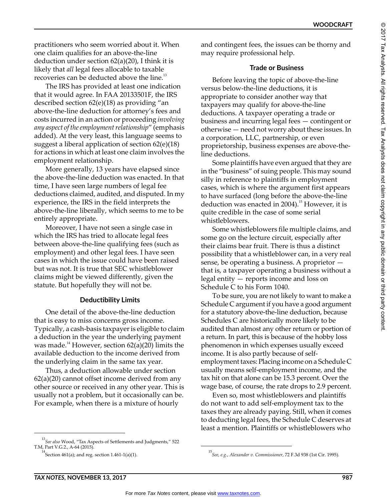practitioners who seem worried about it. When one claim qualifies for an above-the-line deduction under section  $62(a)(20)$ , I think it is likely that *all* legal fees allocable to taxable recoveries can be deducted above the line.<sup>13</sup>

The IRS has provided at least one indication that it would agree. In FAA 20133501F, the IRS described section 62(e)(18) as providing "an above-the-line deduction for attorney's fees and costs incurred in an action or proceeding *involving any aspect of the employment relationship*" (emphasis added). At the very least, this language seems to suggest a liberal application of section 62(e)(18) for actions in which at least one claim involves the employment relationship.

More generally, 13 years have elapsed since the above-the-line deduction was enacted. In that time, I have seen large numbers of legal fee deductions claimed, audited, and disputed. In my experience, the IRS in the field interprets the above-the-line liberally, which seems to me to be entirely appropriate.

Moreover, I have not seen a single case in which the IRS has tried to allocate legal fees between above-the-line qualifying fees (such as employment) and other legal fees. I have seen cases in which the issue could have been raised but was not. It is true that SEC whistleblower claims might be viewed differently, given the statute. But hopefully they will not be.

#### **Deductibility Limits**

One detail of the above-the-line deduction that is easy to miss concerns gross income. Typically, a cash-basis taxpayer is eligible to claim a deduction in the year the underlying payment was made.<sup>14</sup> However, section  $62(a)(20)$  limits the available deduction to the income derived from the underlying claim in the same tax year.

Thus, a deduction allowable under section  $62(a)(20)$  cannot offset income derived from any other source or received in any other year. This is usually not a problem, but it occasionally can be. For example, when there is a mixture of hourly

13 *See also* Wood, "Tax Aspects of Settlements and Judgments," 522 T.M, Part V.G.2., A-64 (2015).

and contingent fees, the issues can be thorny and may require professional help.

#### **Trade or Business**

Before leaving the topic of above-the-line versus below-the-line deductions, it is appropriate to consider another way that taxpayers may qualify for above-the-line deductions. A taxpayer operating a trade or business and incurring legal fees — contingent or otherwise — need not worry about these issues. In a corporation, LLC, partnership, or even proprietorship, business expenses are above-theline deductions.

Some plaintiffs have even argued that they are in the "business" of suing people. This may sound silly in reference to plaintiffs in employment cases, which is where the argument first appears to have surfaced (long before the above-the-line deduction was enacted in 2004).<sup>15</sup> However, it is quite credible in the case of some serial whistleblowers.

Some whistleblowers file multiple claims, and some go on the lecture circuit, especially after their claims bear fruit. There is thus a distinct possibility that a whistleblower can, in a very real sense, be operating a business. A proprietor that is, a taxpayer operating a business without a legal entity — reports income and loss on Schedule C to his Form 1040.

To be sure, you are not likely to want to make a Schedule C argument if you have a good argument for a statutory above-the-line deduction, because Schedules C are historically more likely to be audited than almost any other return or portion of a return. In part, this is because of the hobby loss phenomenon in which expenses usually exceed income. It is also partly because of selfemployment taxes: Placing income on a Schedule C usually means self-employment income, and the tax hit on that alone can be 15.3 percent. Over the wage base, of course, the rate drops to 2.9 percent.

Even so, most whistleblowers and plaintiffs do not want to add self-employment tax to the taxes they are already paying. Still, when it comes to deducting legal fees, the Schedule C deserves at least a mention. Plaintiffs or whistleblowers who

<sup>14</sup>Section 461(a); and reg. section 1.461-1(a)(1). <sup>15</sup>*See, e.g.*, *Alexander v. Commissioner*, 72 F.3d 938 (1st Cir. 1995).